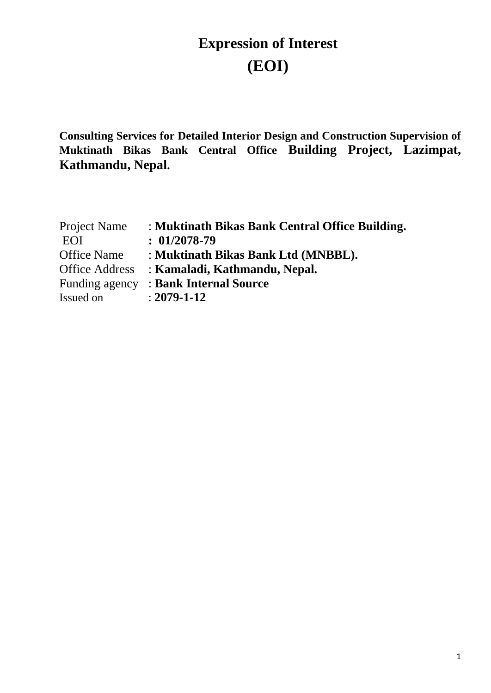# **Expression of Interest (EOI)**

**Consulting Services for Detailed Interior Design and Construction Supervision of Muktinath Bikas Bank Central Office Building Project, Lazimpat, Kathmandu, Nepal.**

| Project Name          | : Muktinath Bikas Bank Central Office Building. |
|-----------------------|-------------------------------------------------|
| EOI                   | $: 01/2078 - 79$                                |
| <b>Office Name</b>    | : Muktinath Bikas Bank Ltd (MNBBL).             |
| <b>Office Address</b> | : Kamaladi, Kathmandu, Nepal.                   |
| Funding agency        | : Bank Internal Source                          |
| Issued on             | $: 2079 - 1 - 12$                               |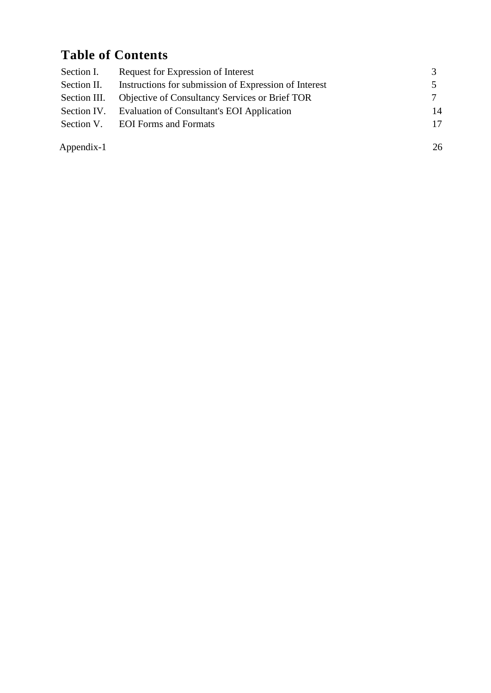## **Table of Contents**

| Section I.   | Request for Expression of Interest                     |    |
|--------------|--------------------------------------------------------|----|
| Section II.  | Instructions for submission of Expression of Interest  |    |
| Section III. | <b>Objective of Consultancy Services or Brief TOR</b>  | 7  |
|              | Section IV. Evaluation of Consultant's EOI Application | 14 |
|              | Section V. EOI Forms and Formats                       | 17 |
| Appendix-1   |                                                        | 26 |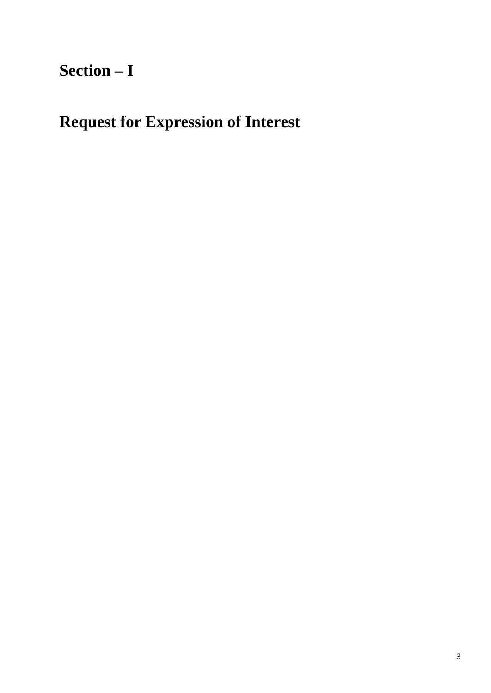# **Section – I**

# **Request for Expression of Interest**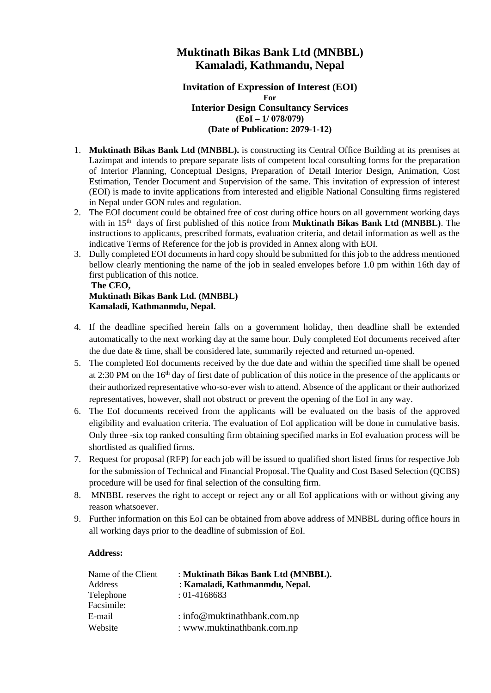#### **Muktinath Bikas Bank Ltd (MNBBL) Kamaladi, Kathmandu, Nepal**

#### **Invitation of Expression of Interest (EOI) For Interior Design Consultancy Services (EoI – 1/ 078/079)**

#### **(Date of Publication: 2079-1-12)**

- <span id="page-3-0"></span>1. **Muktinath Bikas Bank Ltd (MNBBL).** is constructing its Central Office Building at its premises at Lazimpat and intends to prepare separate lists of competent local consulting forms for the preparation of Interior Planning, Conceptual Designs, Preparation of Detail Interior Design, Animation, Cost Estimation, Tender Document and Supervision of the same. This invitation of expression of interest (EOI) is made to invite applications from interested and eligible National Consulting firms registered in Nepal under GON rules and regulation.
- 2. The EOI document could be obtained free of cost during office hours on all government working days with in 15<sup>th</sup> days of first published of this notice from **Muktinath Bikas Bank Ltd (MNBBL)**. The instructions to applicants, prescribed formats, evaluation criteria, and detail information as well as the indicative Terms of Reference for the job is provided in Annex along with EOI.
- 3. Dully completed EOI documents in hard copy should be submitted for this job to the address mentioned bellow clearly mentioning the name of the job in sealed envelopes before 1.0 pm within 16th day of first publication of this notice.

#### **The CEO, Muktinath Bikas Bank Ltd. (MNBBL) Kamaladi, Kathmanmdu, Nepal.**

- 4. If the deadline specified herein falls on a government holiday, then deadline shall be extended automatically to the next working day at the same hour. Duly completed EoI documents received after the due date & time, shall be considered late, summarily rejected and returned un-opened.
- 5. The completed EoI documents received by the due date and within the specified time shall be opened at 2:30 PM on the 16th day of first date of publication of this notice in the presence of the applicants or their authorized representative who-so-ever wish to attend. Absence of the applicant or their authorized representatives, however, shall not obstruct or prevent the opening of the EoI in any way.
- 6. The EoI documents received from the applicants will be evaluated on the basis of the approved eligibility and evaluation criteria. The evaluation of EoI application will be done in cumulative basis. Only three -six top ranked consulting firm obtaining specified marks in EoI evaluation process will be shortlisted as qualified firms.
- 7. Request for proposal (RFP) for each job will be issued to qualified short listed firms for respective Job for the submission of Technical and Financial Proposal. The Quality and Cost Based Selection (QCBS) procedure will be used for final selection of the consulting firm.
- 8. MNBBL reserves the right to accept or reject any or all EoI applications with or without giving any reason whatsoever.
- 9. Further information on this EoI can be obtained from above address of MNBBL during office hours in all working days prior to the deadline of submission of EoI.

#### **Address:**

| Name of the Client<br>Address | : Muktinath Bikas Bank Ltd (MNBBL).<br>: Kamaladi, Kathmanmdu, Nepal. |
|-------------------------------|-----------------------------------------------------------------------|
| Telephone                     | $: 01 - 4168683$                                                      |
| Facsimile:                    |                                                                       |
| E-mail                        | : info@muktinathbank.com.np                                           |
| Website                       | : www.muktinathbank.com.np                                            |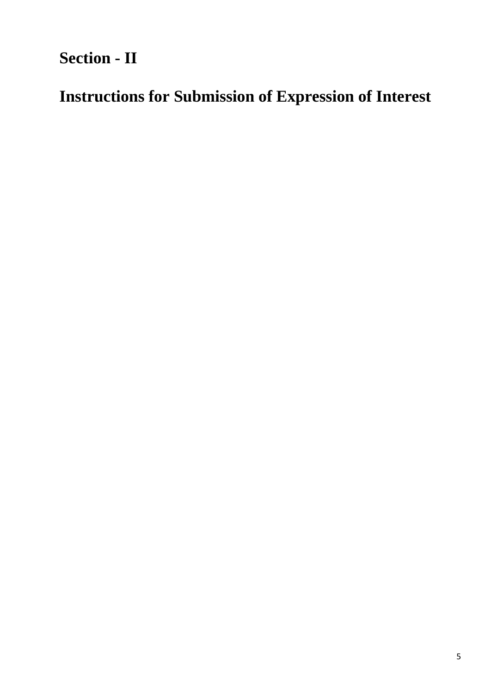**Section - II**

**Instructions for Submission of Expression of Interest**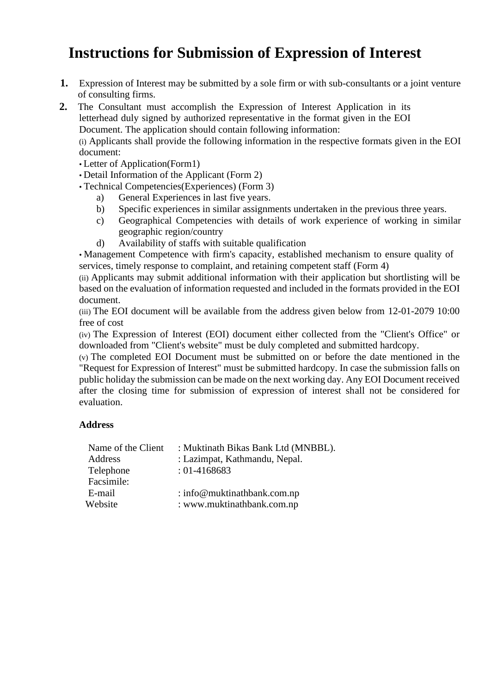## <span id="page-5-0"></span>**Instructions for Submission of Expression of Interest**

**1.** Expression of Interest may be submitted by a sole firm or with sub-consultants or a joint venture of consulting firms.

**2.** The Consultant must accomplish the Expression of Interest Application in its letterhead duly signed by authorized representative in the format given in the EOI Document. The application should contain following information:

(i) Applicants shall provide the following information in the respective formats given in the EOI document:

- Letter of Application(Form1)
- Detail Information of the Applicant (Form 2)
- Technical Competencies(Experiences) (Form 3)
	- a) General Experiences in last five years.
	- b) Specific experiences in similar assignments undertaken in the previous three years.
	- c) Geographical Competencies with details of work experience of working in similar geographic region/country
	- d) Availability of staffs with suitable qualification

• Management Competence with firm's capacity, established mechanism to ensure quality of services, timely response to complaint, and retaining competent staff (Form 4)

(ii) Applicants may submit additional information with their application but shortlisting will be based on the evaluation of information requested and included in the formats provided in the EOI document.

(iii) The EOI document will be available from the address given below from 12-01-2079 10:00 free of cost

(iv) The Expression of Interest (EOI) document either collected from the "Client's Office" or downloaded from "Client's website" must be duly completed and submitted hardcopy.

(v) The completed EOI Document must be submitted on or before the date mentioned in the "Request for Expression of Interest" must be submitted hardcopy. In case the submission falls on public holiday the submission can be made on the next working day. Any EOI Document received after the closing time for submission of expression of interest shall not be considered for evaluation.

#### **Address**

| Name of the Client | : Muktinath Bikas Bank Ltd (MNBBL). |
|--------------------|-------------------------------------|
| Address            | : Lazimpat, Kathmandu, Nepal.       |
| Telephone          | $: 01 - 4168683$                    |
| Facsimile:         |                                     |
| E-mail             | : info@muktinathbank.com.np         |
| Website            | : www.muktinathbank.com.np          |
|                    |                                     |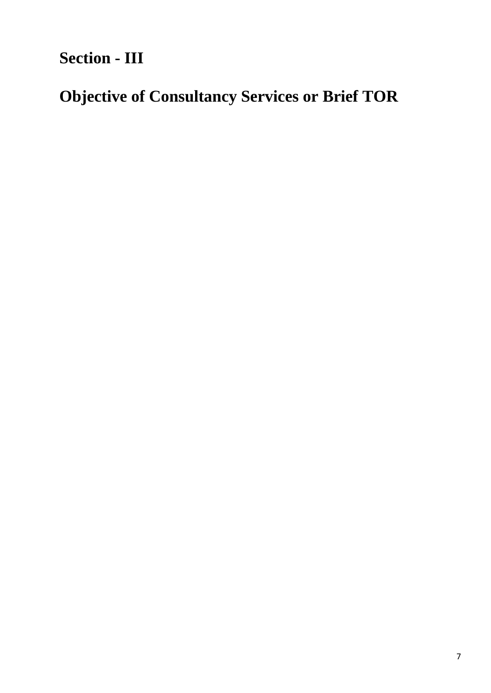**Section - III**

# **Objective of Consultancy Services or Brief TOR**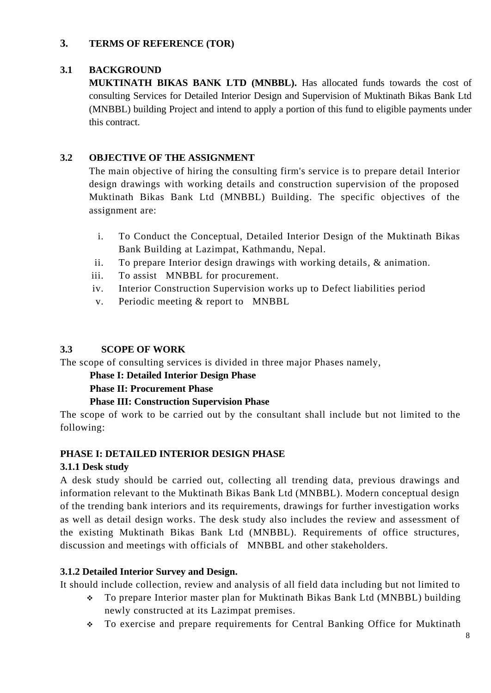#### **3. TERMS OF REFERENCE (TOR)**

#### **3.1 BACKGROUND**

**MUKTINATH BIKAS BANK LTD (MNBBL).** Has allocated funds towards the cost of consulting Services for Detailed Interior Design and Supervision of Muktinath Bikas Bank Ltd (MNBBL) building Project and intend to apply a portion of this fund to eligible payments under this contract.

#### **3.2 OBJECTIVE OF THE ASSIGNMENT**

The main objective of hiring the consulting firm's service is to prepare detail Interior design drawings with working details and construction supervision of the proposed Muktinath Bikas Bank Ltd (MNBBL) Building. The specific objectives of the assignment are:

- i. To Conduct the Conceptual, Detailed Interior Design of the Muktinath Bikas Bank Building at Lazimpat, Kathmandu, Nepal.
- ii. To prepare Interior design drawings with working details, & animation.
- iii. To assist MNBBL for procurement.
- iv. Interior Construction Supervision works up to Defect liabilities period
- v. Periodic meeting & report to MNBBL

#### **3.3 SCOPE OF WORK**

The scope of consulting services is divided in three major Phases namely,

#### **Phase I: Detailed Interior Design Phase**

**Phase II: Procurement Phase** 

#### **Phase III: Construction Supervision Phase**

The scope of work to be carried out by the consultant shall include but not limited to the following:

#### **PHASE I: DETAILED INTERIOR DESIGN PHASE**

#### **3.1.1 Desk study**

A desk study should be carried out, collecting all trending data, previous drawings and information relevant to the Muktinath Bikas Bank Ltd (MNBBL). Modern conceptual design of the trending bank interiors and its requirements, drawings for further investigation works as well as detail design works. The desk study also includes the review and assessment of the existing Muktinath Bikas Bank Ltd (MNBBL). Requirements of office structures, discussion and meetings with officials of MNBBL and other stakeholders.

#### **3.1.2 Detailed Interior Survey and Design.**

It should include collection, review and analysis of all field data including but not limited to

- ❖ To prepare Interior master plan for Muktinath Bikas Bank Ltd (MNBBL) building newly constructed at its Lazimpat premises.
- ❖ To exercise and prepare requirements for Central Banking Office for Muktinath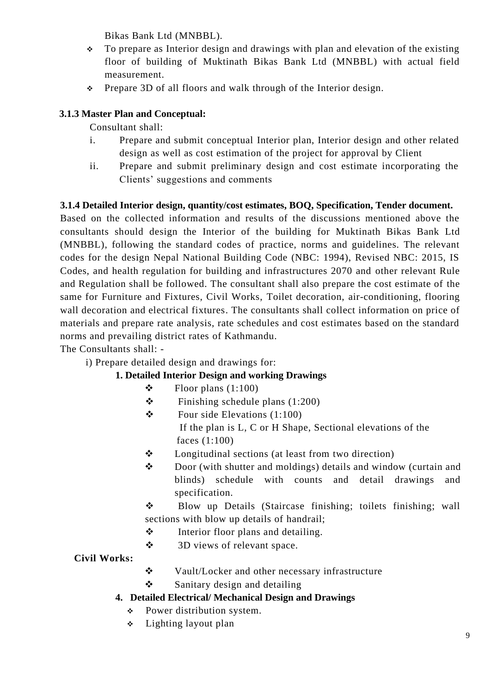Bikas Bank Ltd (MNBBL).

- ❖ To prepare as Interior design and drawings with plan and elevation of the existing floor of building of Muktinath Bikas Bank Ltd (MNBBL) with actual field measurement.
- ❖ Prepare 3D of all floors and walk through of the Interior design.

#### **3.1.3 Master Plan and Conceptual:**

Consultant shall:

- i. Prepare and submit conceptual Interior plan, Interior design and other related design as well as cost estimation of the project for approval by Client
- ii. Prepare and submit preliminary design and cost estimate incorporating the Clients' suggestions and comments

#### **3.1.4 Detailed Interior design, quantity/cost estimates, BOQ, Specification, Tender document.**

Based on the collected information and results of the discussions mentioned above the consultants should design the Interior of the building for Muktinath Bikas Bank Ltd (MNBBL), following the standard codes of practice, norms and guidelines. The relevant codes for the design Nepal National Building Code (NBC: 1994), Revised NBC: 2015, IS Codes, and health regulation for building and infrastructures 2070 and other relevant Rule and Regulation shall be followed. The consultant shall also prepare the cost estimate of the same for Furniture and Fixtures, Civil Works, Toilet decoration, air-conditioning, flooring wall decoration and electrical fixtures. The consultants shall collect information on price of materials and prepare rate analysis, rate schedules and cost estimates based on the standard norms and prevailing district rates of Kathmandu.

The Consultants shall: -

i) Prepare detailed design and drawings for:

#### **1. Detailed Interior Design and working Drawings**

- $\div$  Floor plans (1:100)
- $\div$  Finishing schedule plans (1:200)
- $\div$  Four side Elevations (1:100) If the plan is L, C or H Shape, Sectional elevations of the faces (1:100)
- ❖ Longitudinal sections (at least from two direction)
- ❖ Door (with shutter and moldings) details and window (curtain and blinds) schedule with counts and detail drawings and specification.
- ❖ Blow up Details (Staircase finishing; toilets finishing; wall sections with blow up details of handrail;
- ❖ Interior floor plans and detailing.
- ❖ 3D views of relevant space.

#### **Civil Works:**

- ❖ Vault/Locker and other necessary infrastructure
- ❖ Sanitary design and detailing

#### **4. Detailed Electrical/ Mechanical Design and Drawings**

- ❖ Power distribution system.
- ❖ Lighting layout plan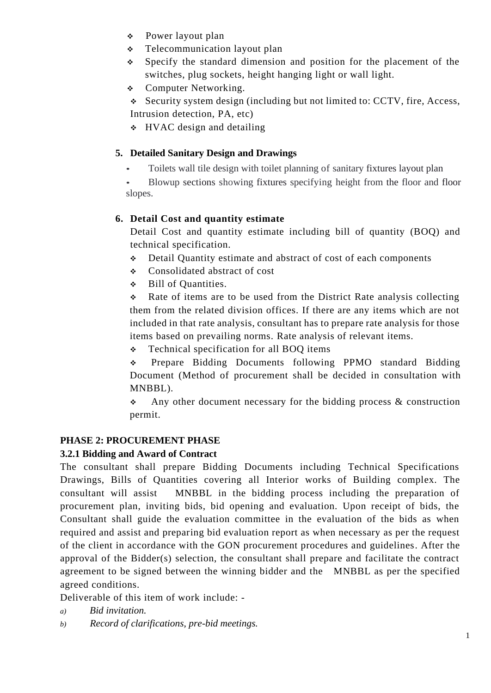- ❖ Power layout plan
- ❖ Telecommunication layout plan
- ❖ Specify the standard dimension and position for the placement of the switches, plug sockets, height hanging light or wall light.
- ❖ Computer Networking.
- ❖ Security system design (including but not limited to: CCTV, fire, Access,
- Intrusion detection, PA, etc)
- ❖ HVAC design and detailing

#### **5. Detailed Sanitary Design and Drawings**

• Toilets wall tile design with toilet planning of sanitary fixtures layout plan

• Blowup sections showing fixtures specifying height from the floor and floor slopes.

#### **6. Detail Cost and quantity estimate**

Detail Cost and quantity estimate including bill of quantity (BOQ) and technical specification.

- ❖ Detail Quantity estimate and abstract of cost of each components
- ❖ Consolidated abstract of cost
- ❖ Bill of Quantities.

❖ Rate of items are to be used from the District Rate analysis collecting them from the related division offices. If there are any items which are not included in that rate analysis, consultant has to prepare rate analysis for those items based on prevailing norms. Rate analysis of relevant items.

❖ Technical specification for all BOQ items

❖ Prepare Bidding Documents following PPMO standard Bidding Document (Method of procurement shall be decided in consultation with MNBBL).

 $\div$  Any other document necessary for the bidding process & construction permit.

#### **PHASE 2: PROCUREMENT PHASE**

#### **3.2.1 Bidding and Award of Contract**

The consultant shall prepare Bidding Documents including Technical Specifications Drawings, Bills of Quantities covering all Interior works of Building complex. The consultant will assist MNBBL in the bidding process including the preparation of procurement plan, inviting bids, bid opening and evaluation. Upon receipt of bids, the Consultant shall guide the evaluation committee in the evaluation of the bids as when required and assist and preparing bid evaluation report as when necessary as per the request of the client in accordance with the GON procurement procedures and guidelines. After the approval of the Bidder(s) selection, the consultant shall prepare and facilitate the contract agreement to be signed between the winning bidder and the MNBBL as per the specified agreed conditions.

Deliverable of this item of work include: -

- *a) Bid invitation.*
- *b) Record of clarifications, pre-bid meetings.*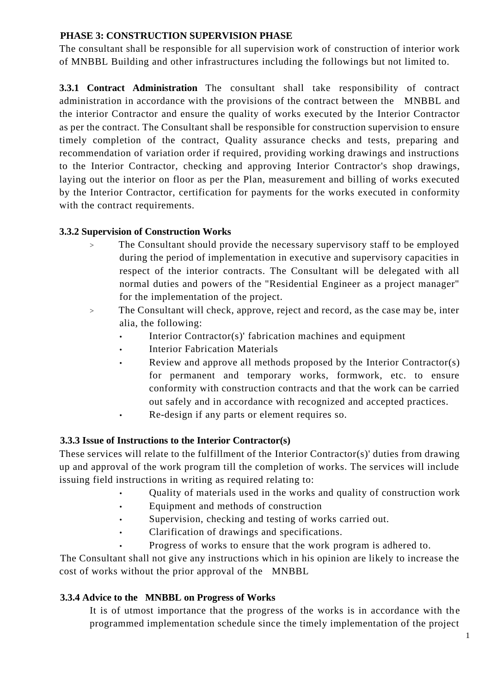#### **PHASE 3: CONSTRUCTION SUPERVISION PHASE**

The consultant shall be responsible for all supervision work of construction of interior work of MNBBL Building and other infrastructures including the followings but not limited to.

**3.3.1 Contract Administration** The consultant shall take responsibility of contract administration in accordance with the provisions of the contract between the MNBBL and the interior Contractor and ensure the quality of works executed by the Interior Contractor as per the contract. The Consultant shall be responsible for construction supervision to ensure timely completion of the contract, Quality assurance checks and tests, preparing and recommendation of variation order if required, providing working drawings and instructions to the Interior Contractor, checking and approving Interior Contractor's shop drawings, laying out the interior on floor as per the Plan, measurement and billing of works executed by the Interior Contractor, certification for payments for the works executed in conformity with the contract requirements.

#### **3.3.2 Supervision of Construction Works**

- The Consultant should provide the necessary supervisory staff to be employed during the period of implementation in executive and supervisory capacities in respect of the interior contracts. The Consultant will be delegated with all normal duties and powers of the "Residential Engineer as a project manager" for the implementation of the project.
- > The Consultant will check, approve, reject and record, as the case may be, inter alia, the following:
	- Interior Contractor(s)' fabrication machines and equipment
	- **Interior Fabrication Materials**
	- Review and approve all methods proposed by the Interior Contractor(s) for permanent and temporary works, formwork, etc. to ensure conformity with construction contracts and that the work can be carried out safely and in accordance with recognized and accepted practices.
	- Re-design if any parts or element requires so.

#### **3.3.3 Issue of Instructions to the Interior Contractor(s)**

These services will relate to the fulfillment of the Interior Contractor(s)' duties from drawing up and approval of the work program till the completion of works. The services will include issuing field instructions in writing as required relating to:

- Quality of materials used in the works and quality of construction work
- Equipment and methods of construction
- Supervision, checking and testing of works carried out.
- Clarification of drawings and specifications.
- Progress of works to ensure that the work program is adhered to.

The Consultant shall not give any instructions which in his opinion are likely to increase the cost of works without the prior approval of the MNBBL

#### **3.3.4 Advice to the MNBBL on Progress of Works**

It is of utmost importance that the progress of the works is in accordance with the programmed implementation schedule since the timely implementation of the project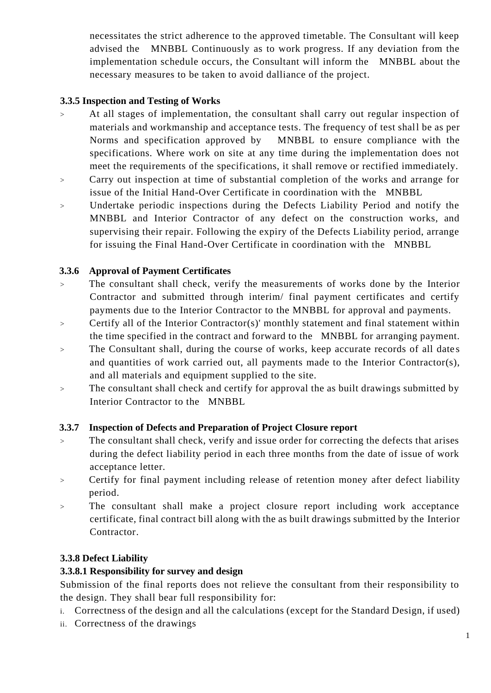necessitates the strict adherence to the approved timetable. The Consultant will keep advised the MNBBL Continuously as to work progress. If any deviation from the implementation schedule occurs, the Consultant will inform the MNBBL about the necessary measures to be taken to avoid dalliance of the project.

#### **3.3.5 Inspection and Testing of Works**

- > At all stages of implementation, the consultant shall carry out regular inspection of materials and workmanship and acceptance tests. The frequency of test shall be as per Norms and specification approved by MNBBL to ensure compliance with the specifications. Where work on site at any time during the implementation does not meet the requirements of the specifications, it shall remove or rectified immediately.
- > Carry out inspection at time of substantial completion of the works and arrange for issue of the Initial Hand-Over Certificate in coordination with the MNBBL
- > Undertake periodic inspections during the Defects Liability Period and notify the MNBBL and Interior Contractor of any defect on the construction works, and supervising their repair. Following the expiry of the Defects Liability period, arrange for issuing the Final Hand-Over Certificate in coordination with the MNBBL

#### **3.3.6 Approval of Payment Certificates**

- > The consultant shall check, verify the measurements of works done by the Interior Contractor and submitted through interim/ final payment certificates and certify payments due to the Interior Contractor to the MNBBL for approval and payments.
- > Certify all of the Interior Contractor(s)' monthly statement and final statement within the time specified in the contract and forward to the MNBBL for arranging payment.
- > The Consultant shall, during the course of works, keep accurate records of all dates and quantities of work carried out, all payments made to the Interior Contractor(s), and all materials and equipment supplied to the site.
- > The consultant shall check and certify for approval the as built drawings submitted by Interior Contractor to the MNBBL

#### **3.3.7 Inspection of Defects and Preparation of Project Closure report**

- > The consultant shall check, verify and issue order for correcting the defects that arises during the defect liability period in each three months from the date of issue of work acceptance letter.
- > Certify for final payment including release of retention money after defect liability period.
- > The consultant shall make a project closure report including work acceptance certificate, final contract bill along with the as built drawings submitted by the Interior Contractor.

#### **3.3.8 Defect Liability**

#### **3.3.8.1 Responsibility for survey and design**

Submission of the final reports does not relieve the consultant from their responsibility to the design. They shall bear full responsibility for:

- i. Correctness of the design and all the calculations (except for the Standard Design, if used)
- ii. Correctness of the drawings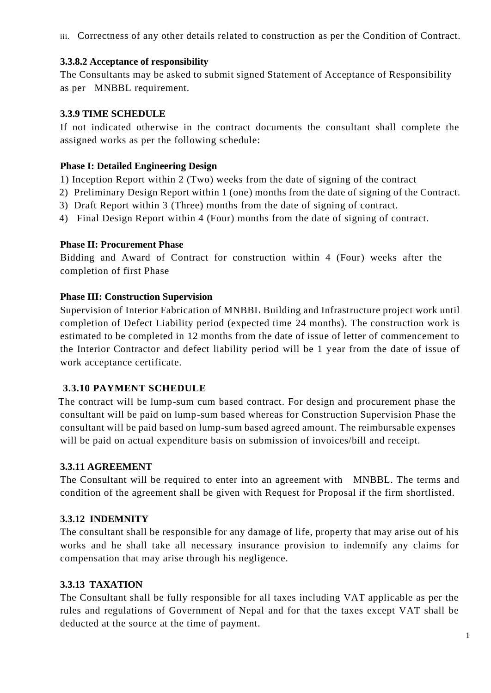iii. Correctness of any other details related to construction as per the Condition of Contract.

#### **3.3.8.2 Acceptance of responsibility**

The Consultants may be asked to submit signed Statement of Acceptance of Responsibility as per MNBBL requirement.

#### **3.3.9 TIME SCHEDULE**

If not indicated otherwise in the contract documents the consultant shall complete the assigned works as per the following schedule:

#### **Phase I: Detailed Engineering Design**

1) Inception Report within 2 (Two) weeks from the date of signing of the contract

- 2) Preliminary Design Report within 1 (one) months from the date of signing of the Contract.
- 3) Draft Report within 3 (Three) months from the date of signing of contract.
- 4) Final Design Report within 4 (Four) months from the date of signing of contract.

#### **Phase II: Procurement Phase**

Bidding and Award of Contract for construction within 4 (Four) weeks after the completion of first Phase

#### **Phase III: Construction Supervision**

Supervision of Interior Fabrication of MNBBL Building and Infrastructure project work until completion of Defect Liability period (expected time 24 months). The construction work is estimated to be completed in 12 months from the date of issue of letter of commencement to the Interior Contractor and defect liability period will be 1 year from the date of issue of work acceptance certificate.

#### **3.3.10 PAYMENT SCHEDULE**

 The contract will be lump-sum cum based contract. For design and procurement phase the consultant will be paid on lump-sum based whereas for Construction Supervision Phase the consultant will be paid based on lump-sum based agreed amount. The reimbursable expenses will be paid on actual expenditure basis on submission of invoices/bill and receipt.

#### **3.3.11 AGREEMENT**

The Consultant will be required to enter into an agreement with MNBBL. The terms and condition of the agreement shall be given with Request for Proposal if the firm shortlisted.

#### **3.3.12 INDEMNITY**

The consultant shall be responsible for any damage of life, property that may arise out of his works and he shall take all necessary insurance provision to indemnify any claims for compensation that may arise through his negligence.

#### **3.3.13 TAXATION**

The Consultant shall be fully responsible for all taxes including VAT applicable as per the rules and regulations of Government of Nepal and for that the taxes except VAT shall be deducted at the source at the time of payment.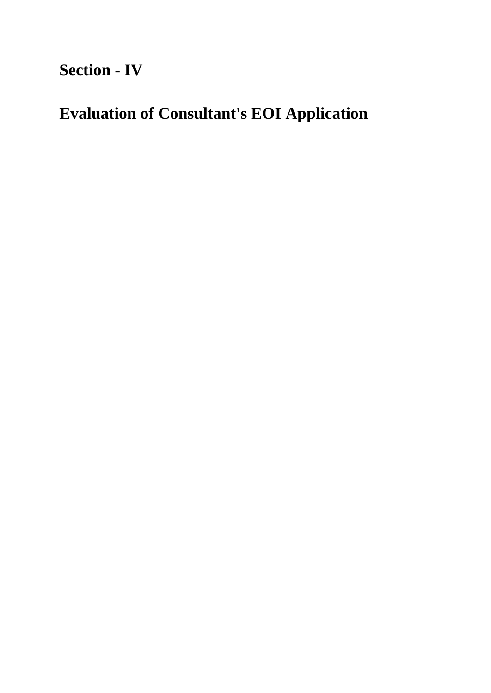# **Section - IV**

# **Evaluation of Consultant's EOI Application**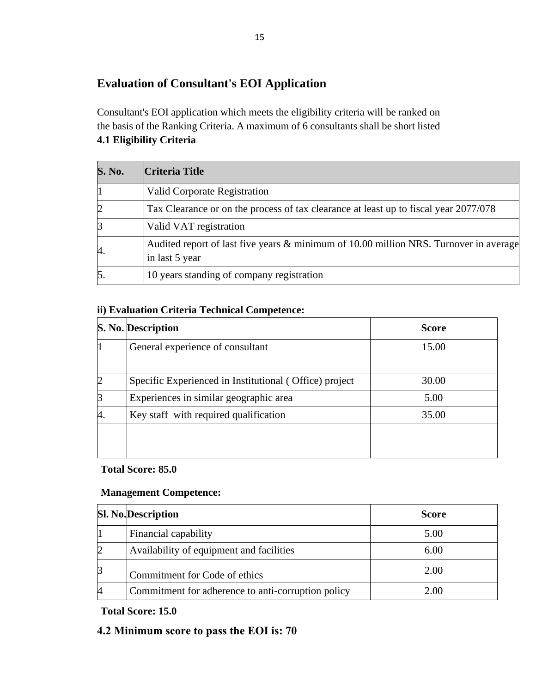### **Evaluation of Consultant's EOI Application**

<span id="page-14-0"></span>Consultant's EOI application which meets the eligibility criteria will be ranked on the basis of the Ranking Criteria. A maximum of 6 consultants shall be short listed **4.1 Eligibility Criteria**

| <b>S. No.</b>    | <b>Criteria Title</b>                                                                                   |
|------------------|---------------------------------------------------------------------------------------------------------|
|                  | <b>Valid Corporate Registration</b>                                                                     |
| $\overline{2}$   | Tax Clearance or on the process of tax clearance at least up to fiscal year 2077/078                    |
| 13               | Valid VAT registration                                                                                  |
| 4.               | Audited report of last five years & minimum of 10.00 million NRS. Turnover in average<br>in last 5 year |
| $\overline{5}$ . | 10 years standing of company registration                                                               |

#### **ii) Evaluation Criteria Technical Competence:**

|    | S. No. Description                                     | <b>Score</b> |
|----|--------------------------------------------------------|--------------|
|    | General experience of consultant                       | 15.00        |
|    |                                                        |              |
|    | Specific Experienced in Institutional (Office) project | 30.00        |
|    | Experiences in similar geographic area                 | 5.00         |
| 4. | Key staff with required qualification                  | 35.00        |
|    |                                                        |              |
|    |                                                        |              |

#### **Total Score: 85.0**

#### **Management Competence:**

|   | <b>Sl. No.</b> Description                         | <b>Score</b> |
|---|----------------------------------------------------|--------------|
|   | Financial capability                               | 5.00         |
|   | Availability of equipment and facilities           | 6.00         |
| 3 | Commitment for Code of ethics                      | 2.00         |
|   | Commitment for adherence to anti-corruption policy | 2.00         |

**Total Score: 15.0**

#### **4.2 Minimum score to pass the EOI is: 70**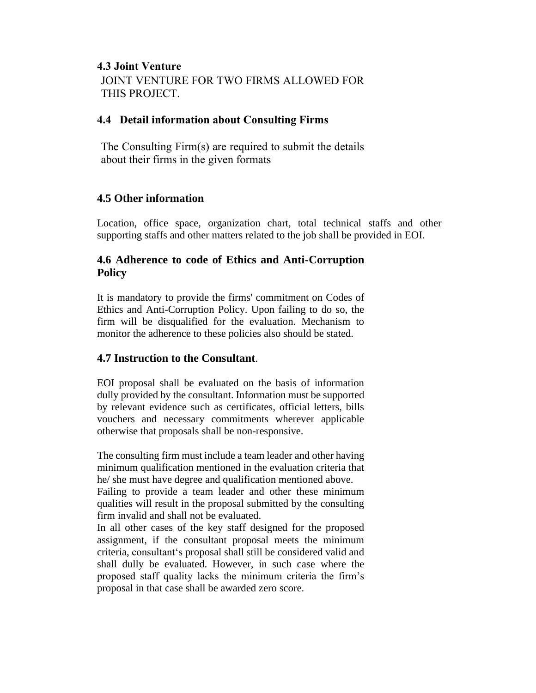#### **4.3 Joint Venture**

JOINT VENTURE FOR TWO FIRMS ALLOWED FOR THIS PROJECT.

#### **4.4 Detail information about Consulting Firms**

The Consulting Firm(s) are required to submit the details about their firms in the given formats

#### **4.5 Other information**

Location, office space, organization chart, total technical staffs and other supporting staffs and other matters related to the job shall be provided in EOI.

#### **4.6 Adherence to code of Ethics and Anti-Corruption Policy**

It is mandatory to provide the firms' commitment on Codes of Ethics and Anti-Corruption Policy. Upon failing to do so, the firm will be disqualified for the evaluation. Mechanism to monitor the adherence to these policies also should be stated.

#### **4.7 Instruction to the Consultant**.

EOI proposal shall be evaluated on the basis of information dully provided by the consultant. Information must be supported by relevant evidence such as certificates, official letters, bills vouchers and necessary commitments wherever applicable otherwise that proposals shall be non-responsive.

The consulting firm must include a team leader and other having minimum qualification mentioned in the evaluation criteria that he/ she must have degree and qualification mentioned above.

Failing to provide a team leader and other these minimum qualities will result in the proposal submitted by the consulting firm invalid and shall not be evaluated.

In all other cases of the key staff designed for the proposed assignment, if the consultant proposal meets the minimum criteria, consultant's proposal shall still be considered valid and shall dully be evaluated. However, in such case where the proposed staff quality lacks the minimum criteria the firm's proposal in that case shall be awarded zero score.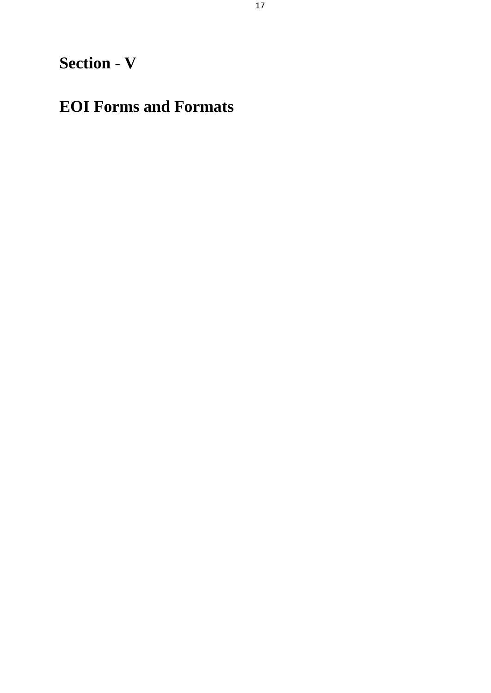# **Section - V**

# **EOI Forms and Formats**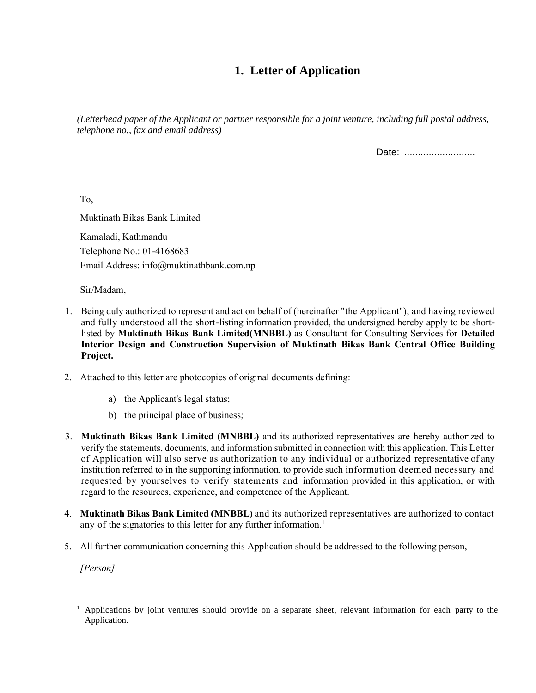### **1. Letter of Application**

*(Letterhead paper of the Applicant or partner responsible for a joint venture, including full postal address, telephone no., fax and email address)*

Date: ...........................

To,

Muktinath Bikas Bank Limited

Kamaladi, Kathmandu Telephone No.: 01-4168683 Email Address: info@muktinathbank.com.np

Sir/Madam,

- 1. Being duly authorized to represent and act on behalf of (hereinafter "the Applicant"), and having reviewed and fully understood all the short-listing information provided, the undersigned hereby apply to be shortlisted by **Muktinath Bikas Bank Limited(MNBBL)** as Consultant for Consulting Services for **Detailed Interior Design and Construction Supervision of Muktinath Bikas Bank Central Office Building Project.**
- 2. Attached to this letter are photocopies of original documents defining:
	- a) the Applicant's legal status;
	- b) the principal place of business;
- 3. **Muktinath Bikas Bank Limited (MNBBL)** and its authorized representatives are hereby authorized to verify the statements, documents, and information submitted in connection with this application. This Letter of Application will also serve as authorization to any individual or authorized representative of any institution referred to in the supporting information, to provide such information deemed necessary and requested by yourselves to verify statements and information provided in this application, or with regard to the resources, experience, and competence of the Applicant.
- 4. **Muktinath Bikas Bank Limited (MNBBL)** and its authorized representatives are authorized to contact any of the signatories to this letter for any further information.<sup>1</sup>
- 5. All further communication concerning this Application should be addressed to the following person,

*[Person]*

<sup>1</sup> Applications by joint ventures should provide on a separate sheet, relevant information for each party to the Application.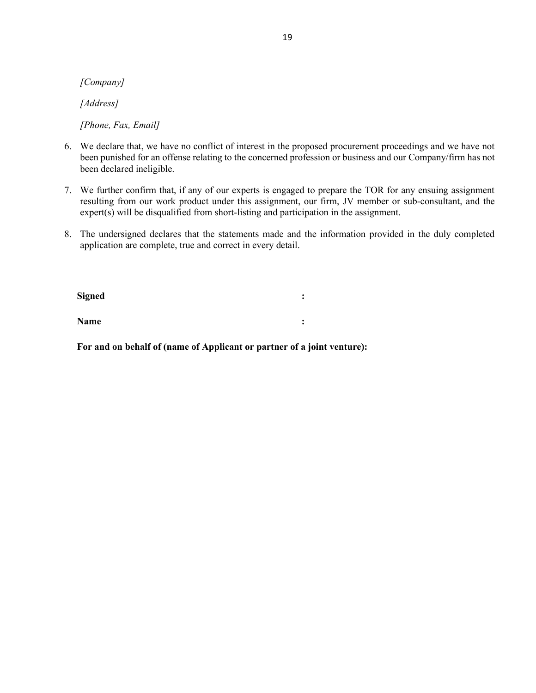*[Company]*

*[Address]*

*[Phone, Fax, Email]*

- 6. We declare that, we have no conflict of interest in the proposed procurement proceedings and we have not been punished for an offense relating to the concerned profession or business and our Company/firm has not been declared ineligible.
- 7. We further confirm that, if any of our experts is engaged to prepare the TOR for any ensuing assignment resulting from our work product under this assignment, our firm, JV member or sub-consultant, and the expert(s) will be disqualified from short-listing and participation in the assignment.
- 8. The undersigned declares that the statements made and the information provided in the duly completed application are complete, true and correct in every detail.

**Signed :**

**Name :**

**For and on behalf of (name of Applicant or partner of a joint venture):**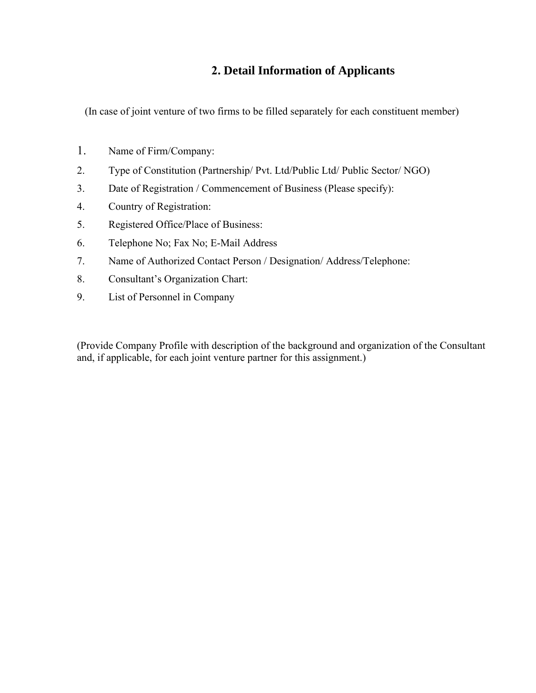#### **2. Detail Information of Applicants**

(In case of joint venture of two firms to be filled separately for each constituent member)

- 1. Name of Firm/Company:
- 2. Type of Constitution (Partnership/ Pvt. Ltd/Public Ltd/ Public Sector/ NGO)
- 3. Date of Registration / Commencement of Business (Please specify):
- 4. Country of Registration:
- 5. Registered Office/Place of Business:
- 6. Telephone No; Fax No; E-Mail Address
- 7. Name of Authorized Contact Person / Designation/ Address/Telephone:
- 8. Consultant's Organization Chart:
- 9. List of Personnel in Company

(Provide Company Profile with description of the background and organization of the Consultant and, if applicable, for each joint venture partner for this assignment.)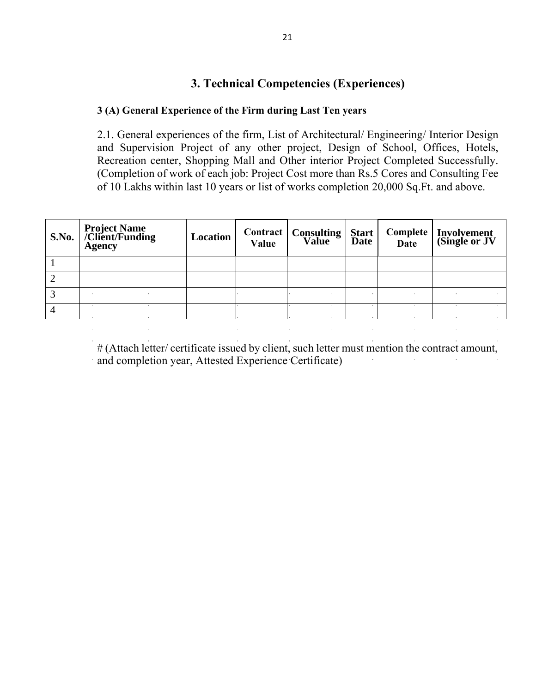### **3. Technical Competencies (Experiences)**

#### **3 (A) General Experience of the Firm during Last Ten years**

2.1. General experiences of the firm, List of Architectural/ Engineering/ Interior Design and Supervision Project of any other project, Design of School, Offices, Hotels, Recreation center, Shopping Mall and Other interior Project Completed Successfully. (Completion of work of each job: Project Cost more than Rs.5 Cores and Consulting Fee of 10 Lakhs within last 10 years or list of works completion 20,000 Sq.Ft. and above.

| S.No. | <b>Project Name</b><br>/Client/Funding<br><b>Agency</b> | Location | Value | <b>Contract   Consulting Value</b> | Start<br>Date | <b>Date</b> | Complete   Involvement<br>(Single or JV |
|-------|---------------------------------------------------------|----------|-------|------------------------------------|---------------|-------------|-----------------------------------------|
|       |                                                         |          |       |                                    |               |             |                                         |
| 2     |                                                         |          |       |                                    |               |             |                                         |
| 3     |                                                         |          |       |                                    |               |             |                                         |
| 4     |                                                         |          |       |                                    |               |             |                                         |

# (Attach letter/ certificate issued by client, such letter must mention the contract amount, and completion year, Attested Experience Certificate)

 $\sim 10^{11}$ 

 $\frac{1}{2}$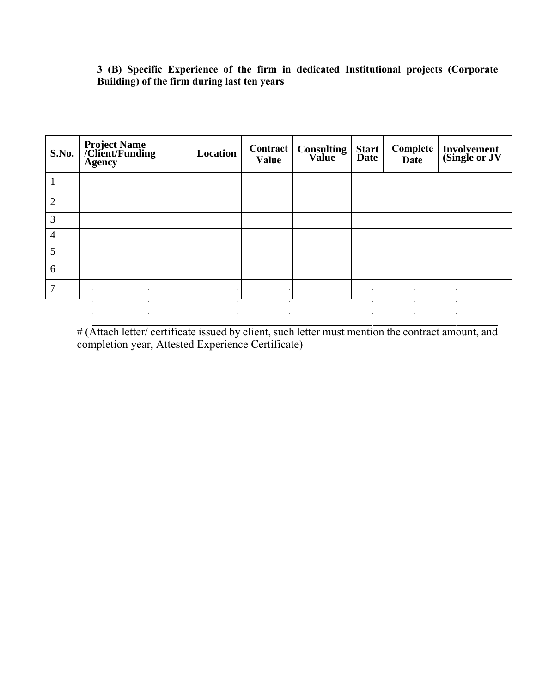#### **3 (B) Specific Experience of the firm in dedicated Institutional projects (Corporate Building) of the firm during last ten years**

| S.No.          | <b>Project Name</b><br>  /Client/Funding<br><b>Agency</b> | Location | Value      | <b>Contract   Consulting   Start  <br/>Value   Date  </b> |                | <b>Date</b> | Complete   Involvement<br>(Single or JV |
|----------------|-----------------------------------------------------------|----------|------------|-----------------------------------------------------------|----------------|-------------|-----------------------------------------|
|                |                                                           |          |            |                                                           |                |             |                                         |
| $\overline{2}$ |                                                           |          |            |                                                           |                |             |                                         |
| 3              |                                                           |          |            |                                                           |                |             |                                         |
| 4              |                                                           |          |            |                                                           |                |             |                                         |
| 5              |                                                           |          |            |                                                           |                |             |                                         |
| 6              |                                                           |          |            |                                                           |                |             |                                         |
| 7              | $\sim 10^{-11}$<br>$\sim$                                 |          | $\alpha$ . | $\sim$                                                    | $\sim 10^{-1}$ | $\alpha$ .  | $\sim$<br>$\alpha$ .                    |
|                | $\bullet$<br>$\bullet$                                    | $\sim$   |            | $\sim$                                                    | $\sim$         | $\sim$      | $\sim$                                  |

# (Attach letter/ certificate issued by client, such letter must mention the contract amount, and completion year, Attested Experience Certificate)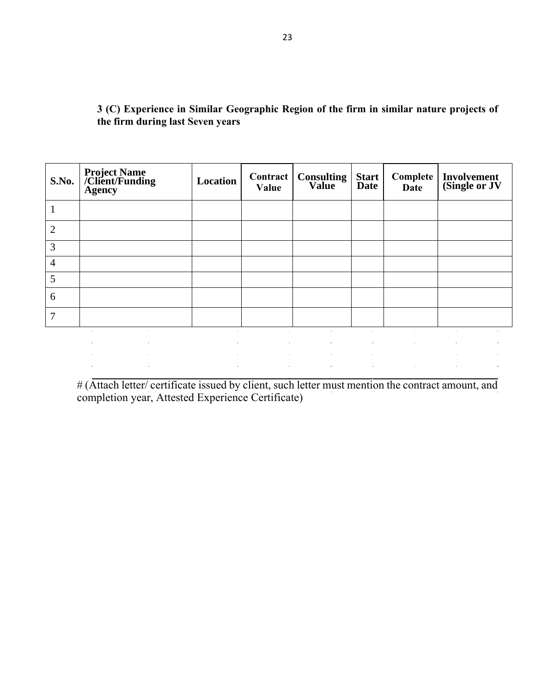| S.No.          | <b>Project Name<br/>/Client/Funding<br/>Agency</b> | Location                     | Contract  <br>Value | <b>Consulting</b>                                                                                                              | Start<br>Date               | Complete<br><b>Date</b> | <b>Involvement</b><br>(Single or JV                                                                                                                                                                                                       |
|----------------|----------------------------------------------------|------------------------------|---------------------|--------------------------------------------------------------------------------------------------------------------------------|-----------------------------|-------------------------|-------------------------------------------------------------------------------------------------------------------------------------------------------------------------------------------------------------------------------------------|
|                |                                                    |                              |                     |                                                                                                                                |                             |                         |                                                                                                                                                                                                                                           |
| $\overline{2}$ |                                                    |                              |                     |                                                                                                                                |                             |                         |                                                                                                                                                                                                                                           |
| 3              |                                                    |                              |                     |                                                                                                                                |                             |                         |                                                                                                                                                                                                                                           |
| $\overline{4}$ |                                                    |                              |                     |                                                                                                                                |                             |                         |                                                                                                                                                                                                                                           |
| 5              |                                                    |                              |                     |                                                                                                                                |                             |                         |                                                                                                                                                                                                                                           |
| 6              |                                                    |                              |                     |                                                                                                                                |                             |                         |                                                                                                                                                                                                                                           |
| 7              |                                                    |                              |                     |                                                                                                                                |                             |                         |                                                                                                                                                                                                                                           |
|                |                                                    |                              | $\sim$              | $\sim$                                                                                                                         | $\mathbf{a}$ .              |                         | $\sim$                                                                                                                                                                                                                                    |
|                | $\alpha$                                           | $\alpha$                     | $\alpha$ .          | $\mathcal{L}(\mathcal{L}^{\mathcal{L}})$ and $\mathcal{L}^{\mathcal{L}}$ are the set of the set of $\mathcal{L}^{\mathcal{L}}$ | $\alpha$ .                  | $\sim$                  | $\bullet$<br>$\alpha$ .                                                                                                                                                                                                                   |
|                | $\sim 10^{-1}$<br>$\alpha$<br>$\sim$               | $\mathcal{A}^{\mathrm{c}}$ . | $\sim 10^{-1}$      | <b>Contractor</b>                                                                                                              | and the control of the con- | $\sim$                  | $\alpha$<br>the control of the control of the control of the control of the control of the control of the control of the control of the control of the control of the control of the control of the control of the control of the control |

**3 (C) Experience in Similar Geographic Region of the firm in similar nature projects of the firm during last Seven years**

# (Attach letter/ certificate issued by client, such letter must mention the contract amount, and completion year, Attested Experience Certificate)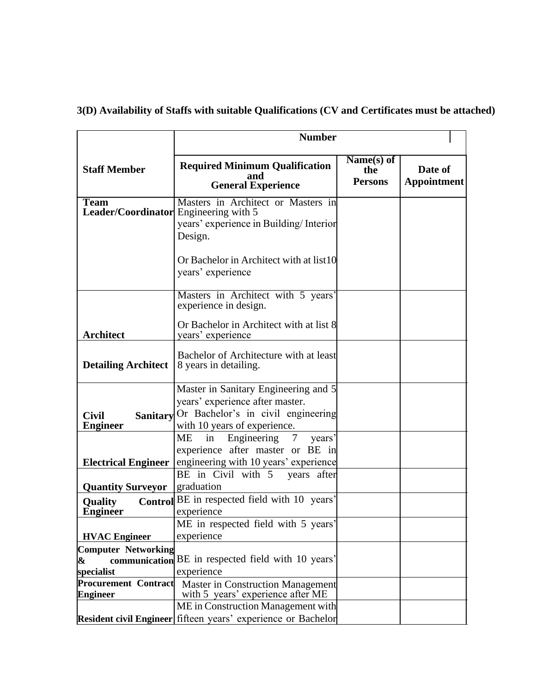#### **Staff Member Number Required Minimum Qualification and General Experience Name(s) of the Persons Date of Appointment Team Leader/Coordinator** Masters in Architect or Masters in Engineering with 5 years' experience in Building/ Interior Design. Or Bachelor in Architect with at list10 years' experience **Architect** Masters in Architect with 5 years' experience in design. Or Bachelor in Architect with at list 8 years' experience **Detailing Architect** Bachelor of Architecture with at least 8 years in detailing. **Civil Sanitary Engineer** Master in Sanitary Engineering and 5 years' experience after master. Or Bachelor's in civil engineering with 10 years of experience. **Electrical Engineer** ME in Engineering 7 years' experience after master or BE in engineering with 10 years' experience **Quantity Surveyor** BE in Civil with 5 years after graduation **Quality** Control BE in respected field with 10 years' **Engineer** experience **HVAC Engineer** ME in respected field with 5 years' experience **Computer Networking & communication**  BE in respected field with 10 years' **specialist** experience Procurement Contract Master in Construction Management **Engineer** with 5 years' experience after ME **Resident civil Engineer** fifteen years' experience or Bachelor ME in Construction Management with

#### **3(D) Availability of Staffs with suitable Qualifications (CV and Certificates must be attached)**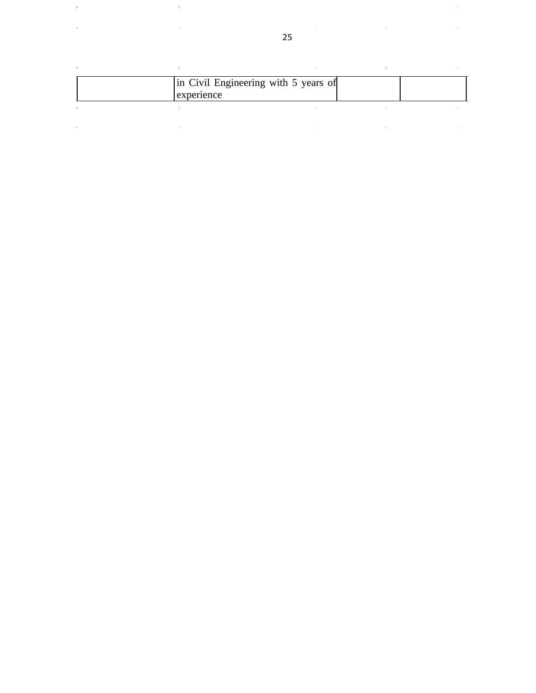|  | In Civil Engineering with 5 years of<br>experience |  |
|--|----------------------------------------------------|--|
|  |                                                    |  |

l,

l,

l,

l,

l,

l.

 $\hat{\boldsymbol{\beta}}$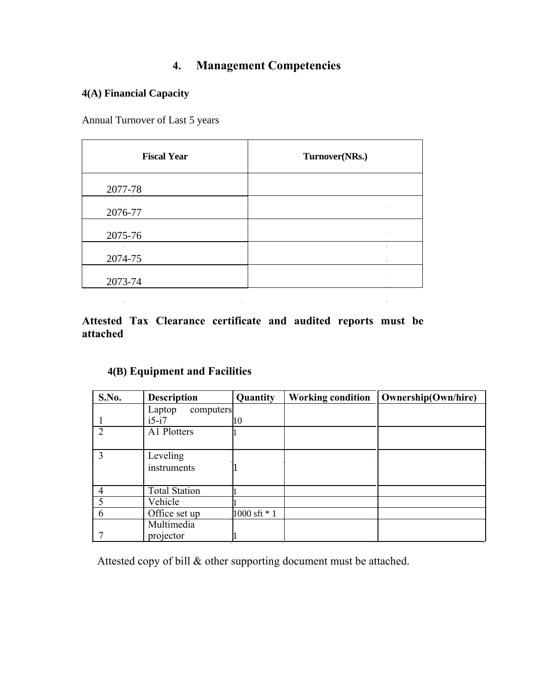## **4. Management Competencies**

#### **4(A) Financial Capacity**

Annual Turnover of Last 5 years

| <b>Fiscal Year</b>                     | Turnover(NRs.) |
|----------------------------------------|----------------|
| 2077-78                                |                |
| 2076-77                                |                |
| 2075-76<br>$\blacksquare$              | $\sim$         |
| $\bullet$<br>2074-75<br>$\blacksquare$ | $\sim$         |
| 2073-74                                |                |

**Attested Tax Clearance certificate and audited reports must be attached**

 $\mathcal{L}^{\text{max}}_{\text{max}}$  and  $\mathcal{L}^{\text{max}}_{\text{max}}$ 

#### **4(B) Equipment and Facilities**

| S.No.                       | <b>Description</b>   | Quantity     | <b>Working condition</b> | <b>Ownership(Own/hire)</b> |
|-----------------------------|----------------------|--------------|--------------------------|----------------------------|
|                             | Laptop<br>computers  |              |                          |                            |
|                             | $i5-i7$              | 10           |                          |                            |
| $\mathcal{D}_{\mathcal{L}}$ | A1 Plotters          |              |                          |                            |
|                             |                      |              |                          |                            |
| 3                           | Leveling             |              |                          |                            |
|                             | instruments          |              |                          |                            |
|                             |                      |              |                          |                            |
|                             | <b>Total Station</b> |              |                          |                            |
|                             | Vehicle              |              |                          |                            |
| 6                           | Office set up        | 1000 sft * 1 |                          |                            |
|                             | Multimedia           |              |                          |                            |
|                             | projector            |              |                          |                            |

**Contract Contract Contract Contract** 

Attested copy of bill & other supporting document must be attached.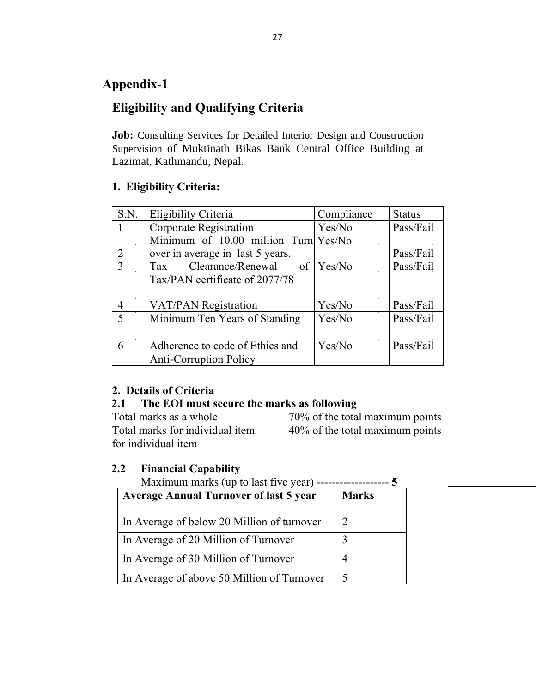### **Appendix-1**

## **Eligibility and Qualifying Criteria**

**Job:** Consulting Services for Detailed Interior Design and Construction Supervision of Muktinath Bikas Bank Central Office Building at Lazimat, Kathmandu, Nepal.

#### **1. Eligibility Criteria:**

| S.N.           | Eligibility Criteria                                                         | Compliance | <b>Status</b> |
|----------------|------------------------------------------------------------------------------|------------|---------------|
|                | <b>Corporate Registration</b>                                                | Yes/No     | Pass/Fail     |
| 2              | Minimum of $10.00$ million Turn $Yes/No$<br>over in average in last 5 years. |            | Pass/Fail     |
| 3              | Clearance/Renewal<br>of<br><b>Tax</b><br>Tax/PAN certificate of 2077/78      | Yes/No     | Pass/Fail     |
|                | <b>VAT/PAN Registration</b>                                                  | Yes/No     | Pass/Fail     |
| $\overline{5}$ | Minimum Ten Years of Standing                                                | Yes/No     | Pass/Fail     |
| 6              | Adherence to code of Ethics and<br><b>Anti-Corruption Policy</b>             | Yes/No     | Pass/Fail     |

#### **2. Details of Criteria**

#### **2.1 The EOI must secure the marks as following**

Total marks as a whole 70% of the total maximum points Total marks for individual item 40% of the total maximum points for individual item

#### **2.2 Financial Capability**

| Maximum marks (up to last five year)          |              |  |  |  |
|-----------------------------------------------|--------------|--|--|--|
| <b>Average Annual Turnover of last 5 year</b> | <b>Marks</b> |  |  |  |
|                                               |              |  |  |  |
| In Average of below 20 Million of turnover    | 2            |  |  |  |
| In Average of 20 Million of Turnover          | 3            |  |  |  |
| In Average of 30 Million of Turnover          |              |  |  |  |
| In Average of above 50 Million of Turnover    | $\varsigma$  |  |  |  |

Maximum marks (up to last five year) ------------------- **5**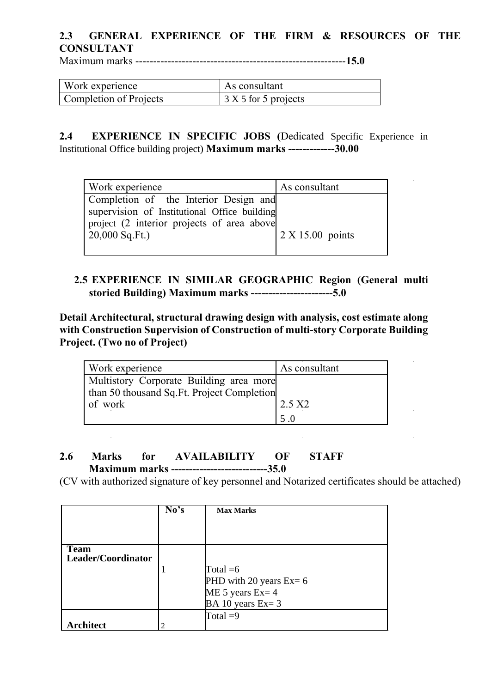### **2.3 GENERAL EXPERIENCE OF THE FIRM & RESOURCES OF THE CONSULTANT**

Maximum marks -----------------------------------------------------------**15.0**

| Work experience        | As consultant                    |
|------------------------|----------------------------------|
| Completion of Projects | $\frac{1}{2}$ X 5 for 5 projects |

**2.4 EXPERIENCE IN SPECIFIC JOBS (**Dedicated Specific Experience in Institutional Office building project) **Maximum marks -------------30.00**

| Work experience                              | As consultant      |
|----------------------------------------------|--------------------|
| Completion of the Interior Design and        |                    |
| supervision of Institutional Office building |                    |
| project (2 interior projects of area above   |                    |
| $20,000$ Sq.Ft.)                             | $2 X 15.00$ points |
|                                              |                    |

#### **2.5 EXPERIENCE IN SIMILAR GEOGRAPHIC Region (General multi storied Building) Maximum marks -----------------------5.0**

**Detail Architectural, structural drawing design with analysis, cost estimate along with Construction Supervision of Construction of multi-story Corporate Building Project. (Two no of Project)**

| Work experience                            | As consultant    |
|--------------------------------------------|------------------|
| Multistory Corporate Building area more    |                  |
| than 50 thousand Sq.Ft. Project Completion |                  |
| of work                                    | $2.5 \text{ X2}$ |
|                                            | .5 O             |

#### **2.6 Marks for AVAILABILITY OF STAFF Maximum marks ---------------------------35.0**

 $\mathcal{L}_{\text{max}}$ 

(CV with authorized signature of key personnel and Notarized certificates should be attached)

|                                   | No's                          | <b>Max Marks</b>           |
|-----------------------------------|-------------------------------|----------------------------|
|                                   |                               |                            |
|                                   |                               |                            |
| <b>Team</b><br>Leader/Coordinator |                               |                            |
|                                   |                               | Total $=6$                 |
|                                   |                               | PHD with 20 years $Ex = 6$ |
|                                   |                               | ME 5 years $Ex = 4$        |
|                                   |                               | BA 10 years $Ex=3$         |
|                                   |                               | Total $=9$                 |
| <b>Architect</b>                  | $\mathfrak{D}_{\mathfrak{p}}$ |                            |